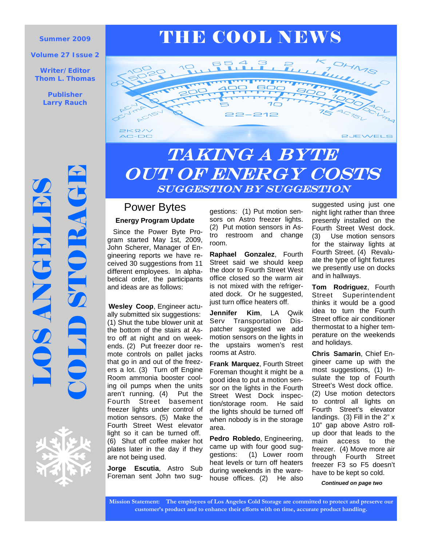#### **Volume 27 Issue 2**

**Writer/Editor Thom L. Thomas** 

> **Publisher Larry Rauch**





# **LOS ANGELES**



# TAKING A BYTE out of energy costs suggestion by suggestion

# Power Bytes

## **Energy Program Update**

 Since the Power Byte Program started May 1st, 2009, John Scherer, Manager of Engineering reports we have received 30 suggestions from 11 different employees. In alphabetical order, the participants and ideas are as follows:

**Wesley Coop**, Engineer actually submitted six suggestions: (1) Shut the tube blower unit at the bottom of the stairs at Astro off at night and on weekends. (2) Put freezer door remote controls on pallet jacks that go in and out of the freezers a lot. (3) Turn off Engine Room ammonia booster cooling oil pumps when the units aren't running. (4) Put the Fourth Street basement freezer lights under control of motion sensors. (5) Make the Fourth Street West elevator light so it can be turned off. (6) Shut off coffee maker hot plates later in the day if they are not being used.

**Jorge Escutia**, Astro Sub Foreman sent John two suggestions: (1) Put motion sensors on Astro freezer lights. (2) Put motion sensors in Astro restroom and change room.

**Raphael Gonzalez**, Fourth Street said we should keep the door to Fourth Street West office closed so the warm air is not mixed with the refrigerated dock. Or he suggested, just turn office heaters off.

**Jennifer Kim**, LA Qwik Serv Transportation Dispatcher suggested we add motion sensors on the lights in the upstairs women's rest rooms at Astro.

**Frank Marquez**, Fourth Street Foreman thought it might be a good idea to put a motion sensor on the lights in the Fourth Street West Dock inspection/storage room. He said the lights should be turned off when nobody is in the storage area.

**Pedro Robledo**, Engineering, came up with four good suggestions: (1) Lower room heat levels or turn off heaters during weekends in the warehouse offices. (2) He also

suggested using just one night light rather than three presently installed on the Fourth Street West dock. (3) Use motion sensors for the stairway lights at Fourth Street. (4) Revaluate the type of light fixtures we presently use on docks and in hallways.

**Tom Rodriguez**, Fourth Street Superintendent thinks it would be a good idea to turn the Fourth Street office air conditioner thermostat to a higher temperature on the weekends and holidays.

**Chris Samarin**, Chief Engineer came up with the most suggestions, (1) Insulate the top of Fourth Street's West dock office. (2) Use motion detectors to control all lights on Fourth Street's elevator landings. (3) Fill in the 2" x 10" gap above Astro rollup door that leads to the main access to the freezer. (4) Move more air through Fourth Street freezer F3 so F5 doesn't have to be kept so cold.

*Continued on page two* 

**Mission Statement: The employees of Los Angeles Cold Storage are committed to protect and preserve our customer's product and to enhance their efforts with on time, accurate product handling.**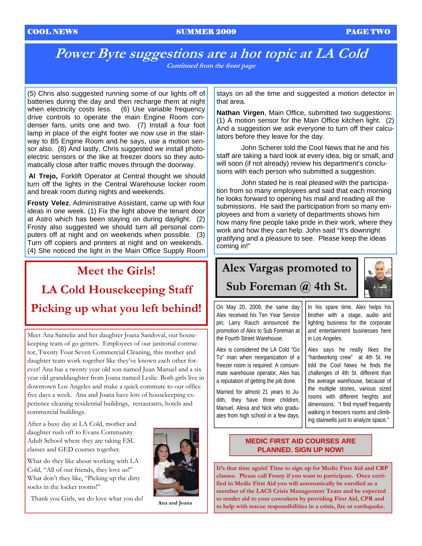#### COOL NEWS SUMMER 2009 PAGE TWO

## **Power Byte suggestions are a hot topic at LA Cold Continued from the front page**

(5) Chris also suggested running some of our lights off of batteries during the day and then recharge them at night when electricity costs less. (6) Use variable frequency drive controls to operate the main Engine Room condenser fans, units one and two. (7) Install a four foot lamp in place of the eight footer we now use in the stairway to B5 Engine Room and he says, use a motion sensor also. (8) And lastly, Chris suggested we install photoelectric sensors or the like at freezer doors so they automatically close after traffic moves through the doorway.

**Al Trejo,** Forklift Operator at Central thought we should turn off the lights in the Central Warehouse locker room and break room during nights and weekends.

**Frosty Velez**, Administrative Assistant, came up with four ideas in one week. (1) Fix the light above the tenant door at Astro which has been staying on during daylight. (2) Frosty also suggested we should turn all personal computers off at night and on weekends when possible. (3) Turn off copiers and printers at night and on weekends. (4) She noticed the light in the Main Office Supply Room

# **Meet the Girls! LA Cold Housekeeping Staff Picking up what you left behind!**

Meet Ana Santeliz and her daughter Joana Sandoval, our housekeeping team of go getters. Employees of our janitorial contractor, Twenty Four Seven Commercial Cleaning, this mother and daughter team work together like they've known each other forever! Ana has a twenty year old son named Juan Manuel and a six year old granddaughter from Joana named Leslie. Both girls live in downtown Los Angeles and make a quick commute to our office five days a week. Ana and Joana have lots of housekeeping experience cleaning residential buildings, restaurants, hotels and commercial buildings.

After a busy day at LA Cold, mother and daughter rush off to Evans Community Adult School where they are taking ESL classes and GED courses together.

What do they like about working with LA Cold, "All of our friends, they love us!" What don't they like, "Picking up the dirty socks in the locker rooms!"

Thank you Girls, we do love what you do! **Ana and Joana** 



stays on all the time and suggested a motion detector in that area.

**Nathan Virgen**, Main Office, submitted two suggestions: (1) A motion sensor for the Main Office kitchen light. (2) And a suggestion we ask everyone to turn off their calculators before they leave for the day.

 John Scherer told the Cool News that he and his staff are taking a hard look at every idea, big or small, and will soon (if not already) review his department's conclusions with each person who submitted a suggestion.

 John stated he is real pleased with the participation from so many employees and said that each morning he looks forward to opening his mail and reading all the submissions. He said the participation from so many employees and from a variety of departments shows him how many fine people take pride in their work, where they work and how they can help. John said "It's downright gratifying and a pleasure to see. Please keep the ideas coming in!"

# **Alex Vargas promoted to**



# **Sub Foreman @ 4th St.**

On May 20, 2009, the same day Alex received his Ten Year Service pin, Larry Rauch announced the promotion of Alex to Sub Foreman at the Fourth Street Warehouse.

Alex is considered the LA Cold "Go To" man when reorganization of a freezer room is required. A consummate warehouse operator, Alex has a reputation of getting the job done.

Married for almost 21 years to Judith, they have three children, Manuel, Alexa and Nick who graduates from high school in a few days. In his spare time, Alex helps his brother with a stage, audio and lighting business for the corporate and entertainment businesses here in Los Angeles.

Alex says he really likes the "hardworking crew" at 4th St. He told the Cool News he finds the challenges of 4th St. different than the average warehouse, because of the multiple stories, various sized rooms with different heights and dimensions. "I find myself frequently walking in freezers rooms and climbing stairwells just to analyze space."

## **MEDIC FIRST AID COURSES ARE PLANNED. SIGN UP NOW!**

**It's that time again! Time to sign up for Medic First Aid and CRP classes. Please call Frosty if you want to participate. Once certified in Medic First Aid you will automatically be enrolled as a member of the LACS Crisis Management Team and be expected to render aid to your coworkers by providing First Aid, CPR and to help with rescue responsibilities in a crisis, fire or earthquake.**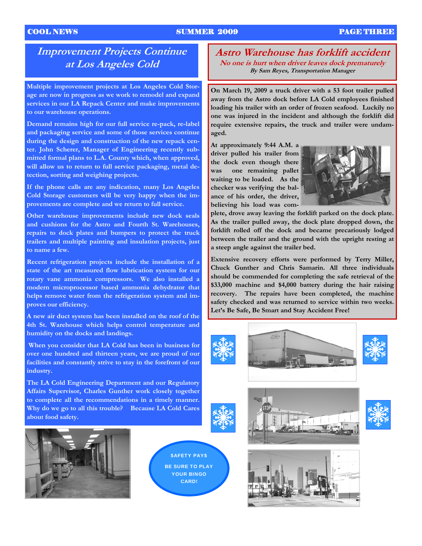### COOL NEWS SUMMER 2009 PAGE THREE

# **Improvement Projects Continue at Los Angeles Cold**

**Multiple improvement projects at Los Angeles Cold Storage are now in progress as we work to remodel and expand services in our LA Repack Center and make improvements to our warehouse operations.** 

**Demand remains high for our full service re-pack, re-label and packaging service and some of those services continue during the design and construction of the new repack center. John Scherer, Manager of Engineering recently submitted formal plans to L.A. County which, when approved, will allow us to return to full service packaging, metal detection, sorting and weighing projects.** 

**If the phone calls are any indication, many Los Angeles Cold Storage customers will be very happy when the improvements are complete and we return to full service.** 

**Other warehouse improvements include new dock seals and cushions for the Astro and Fourth St. Warehouses, repairs to dock plates and bumpers to protect the truck trailers and multiple painting and insulation projects, just to name a few.** 

**Recent refrigeration projects include the installation of a state of the art measured flow lubrication system for our rotary vane ammonia compressors. We also installed a modern microprocessor based ammonia dehydrator that helps remove water from the refrigeration system and improves our efficiency.** 

**A new air duct system has been installed on the roof of the 4th St. Warehouse which helps control temperature and humidity on the docks and landings.** 

 **When you consider that LA Cold has been in business for over one hundred and thirteen years, we are proud of our facilities and constantly strive to stay in the forefront of our industry.** 

**The LA Cold Engineering Department and our Regulatory Affairs Supervisor, Charles Gunther work closely together to complete all the recommendations in a timely manner. Why do we go to all this trouble? Because LA Cold Cares about food safety.** 



\$AFETY PAY\$ BE SURE TO PLAY YOUR BINGO CARD!

**Astro Warehouse has forklift accident No one is hurt when driver leaves dock prematurely By Sam Reyes, Transportation Manager** 

**On March 19, 2009 a truck driver with a 53 foot trailer pulled away from the Astro dock before LA Cold employees finished loading his trailer with an order of frozen seafood. Luckily no one was injured in the incident and although the forklift did require extensive repairs, the truck and trailer were undamaged.** 

**At approximately 9:44 A.M. a driver pulled his trailer from the dock even though there was one remaining pallet waiting to be loaded. As the checker was verifying the balance of his order, the driver, believing his load was com-**



**plete, drove away leaving the forklift parked on the dock plate. As the trailer pulled away, the dock plate dropped down, the forklift rolled off the dock and became precariously lodged between the trailer and the ground with the upright resting at a steep angle against the trailer bed.** 

**Extensive recovery efforts were performed by Terry Miller, Chuck Gunther and Chris Samarin. All three individuals should be commended for completing the safe retrieval of the \$33,000 machine and \$4,000 battery during the hair raising recovery. The repairs have been completed, the machine safety checked and was returned to service within two weeks. Let's Be Safe, Be Smart and Stay Accident Free!**